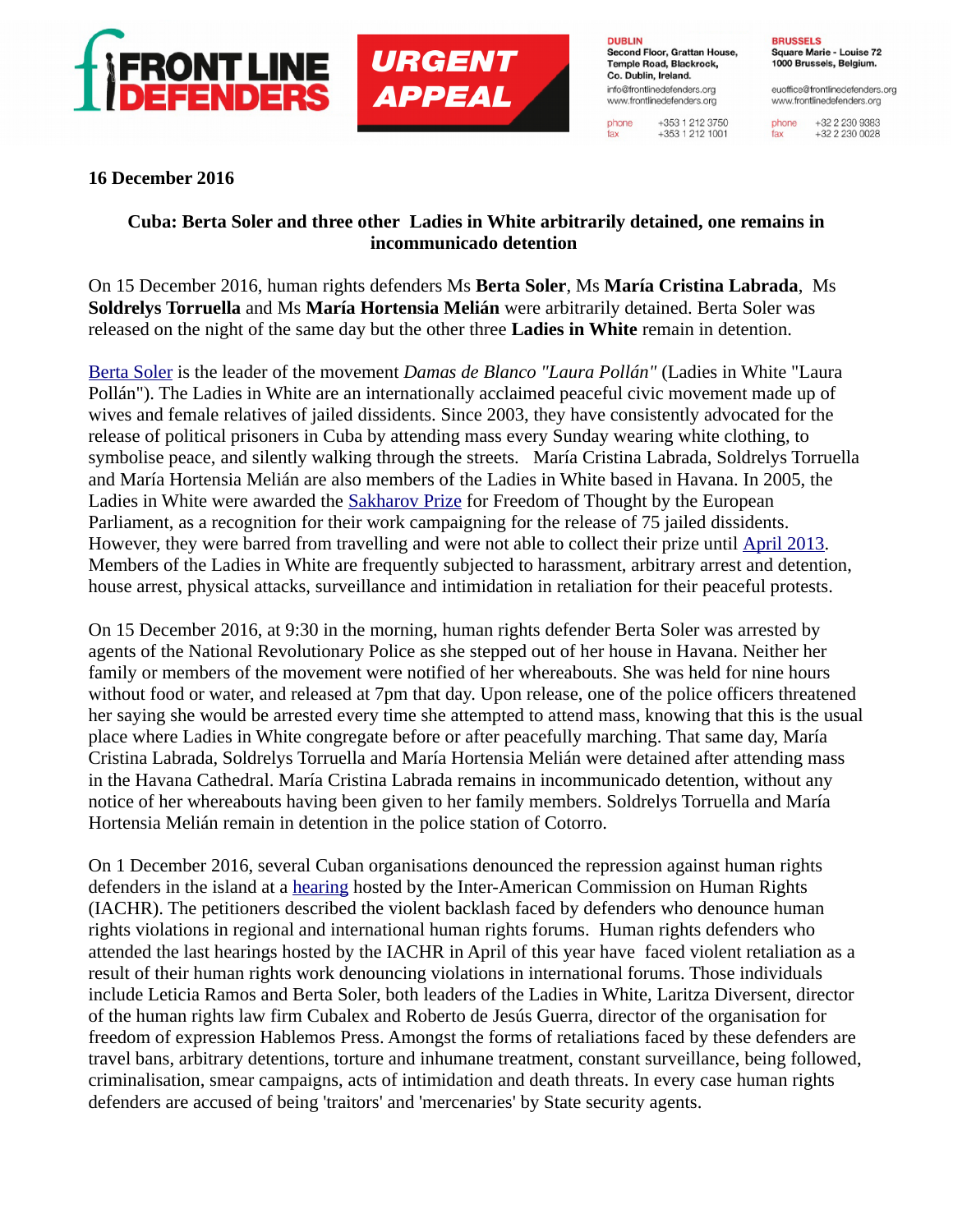

**URGENT APPEAL** 

**DUBLIN** Second Floor, Grattan House, Temple Road, Blackrock, Co. Dublin, Ireland. info@frontlinedefenders.org www.frontlinedefenders.org

phone

fax

+353 1 212 3750  $+353$  1 212 1001 **BRUSSELS** Square Marie - Louise 72 1000 Brussels, Belgium.

euoffice@frontlinedefenders.org www.frontlinedefenders.org

+32 2 230 9383 phone +32 2 230 0028 fax

## **16 December 2016**

## **Cuba: Berta Soler and three other Ladies in White arbitrarily detained, one remains in incommunicado detention**

On 15 December 2016, human rights defenders Ms **Berta Soler**, Ms **María Cristina Labrada**, Ms **Soldrelys Torruella** and Ms **María Hortensia Melián** were arbitrarily detained. Berta Soler was released on the night of the same day but the other three **Ladies in White** remain in detention.

[Berta Soler](https://www.frontlinedefenders.org/en/case/case-history-berta-soler) is the leader of the movement *Damas de Blanco "Laura Pollán"* (Ladies in White "Laura Pollán"). The Ladies in White are an internationally acclaimed peaceful civic movement made up of wives and female relatives of jailed dissidents. Since 2003, they have consistently advocated for the release of political prisoners in Cuba by attending mass every Sunday wearing white clothing, to symbolise peace, and silently walking through the streets. María Cristina Labrada, Soldrelys Torruella and María Hortensia Melián are also members of the Ladies in White based in Havana. In 2005, the Ladies in White were awarded the [Sakharov Prize](http://www.europarl.europa.eu/intcoop/sakharov/award-ceremonies-videos_en.html) for Freedom of Thought by the European Parliament, as a recognition for their work campaigning for the release of 75 jailed dissidents. However, they were barred from travelling and were not able to collect their prize until [April 2013.](http://www.europarl.europa.eu/news/en/news-room/20130419STO07454/ladies-in-white-sakharov-prize-is-shield-protecting-our-fight-for-freedom) Members of the Ladies in White are frequently subjected to harassment, arbitrary arrest and detention, house arrest, physical attacks, surveillance and intimidation in retaliation for their peaceful protests.

On 15 December 2016, at 9:30 in the morning, human rights defender Berta Soler was arrested by agents of the National Revolutionary Police as she stepped out of her house in Havana. Neither her family or members of the movement were notified of her whereabouts. She was held for nine hours without food or water, and released at 7pm that day. Upon release, one of the police officers threatened her saying she would be arrested every time she attempted to attend mass, knowing that this is the usual place where Ladies in White congregate before or after peacefully marching. That same day, María Cristina Labrada, Soldrelys Torruella and María Hortensia Melián were detained after attending mass in the Havana Cathedral. María Cristina Labrada remains in incommunicado detention, without any notice of her whereabouts having been given to her family members. Soldrelys Torruella and María Hortensia Melián remain in detention in the police station of Cotorro.

On 1 December 2016, several Cuban organisations denounced the repression against human rights defenders in the island at a [hearing](https://www.youtube.com/watch?v=3uDnLrjZhW4) hosted by the Inter-American Commission on Human Rights (IACHR). The petitioners described the violent backlash faced by defenders who denounce human rights violations in regional and international human rights forums. Human rights defenders who attended the last hearings hosted by the IACHR in April of this year have faced violent retaliation as a result of their human rights work denouncing violations in international forums. Those individuals include Leticia Ramos and Berta Soler, both leaders of the Ladies in White, Laritza Diversent, director of the human rights law firm Cubalex and Roberto de Jesús Guerra, director of the organisation for freedom of expression Hablemos Press. Amongst the forms of retaliations faced by these defenders are travel bans, arbitrary detentions, torture and inhumane treatment, constant surveillance, being followed, criminalisation, smear campaigns, acts of intimidation and death threats. In every case human rights defenders are accused of being 'traitors' and 'mercenaries' by State security agents.